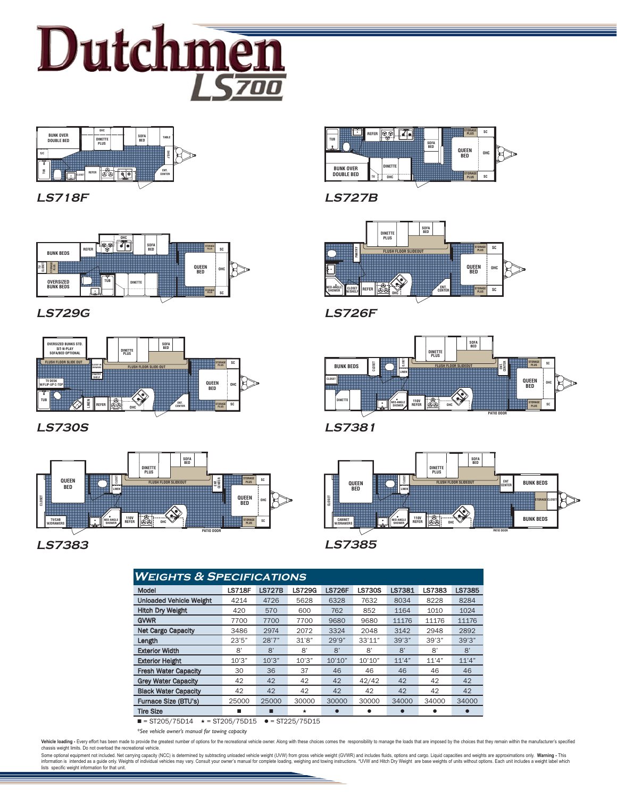



**LS718F**



**LS729G**



**LS730S**



# **LS7383 LS7385**



**LS727B**



**LS726F**



**LS7381**



| <b>WEIGHTS &amp; SPECIFICATIONS</b> |               |               |                |               |               |        |                |               |
|-------------------------------------|---------------|---------------|----------------|---------------|---------------|--------|----------------|---------------|
| Model                               | <b>LS718F</b> | <b>LS727B</b> | <b>LS729G</b>  | <b>LS726F</b> | <b>LS730S</b> | LS7381 | LS7383         | <b>LS7385</b> |
| <b>Unloaded Vehicle Weight</b>      | 4214          | 4726          | 5628           | 6328          | 7632          | 8034   | 8228           | 8284          |
| <b>Hitch Dry Weight</b>             | 420           | 570           | 600            | 762           | 852           | 1164   | 1010           | 1024          |
| <b>GVWR</b>                         | 7700          | 7700          | 7700           | 9680          | 9680          | 11176  | 11176          | 11176         |
| <b>Net Cargo Capacity</b>           | 3486          | 2974          | 2072           | 3324          | 2048          | 3142   | 2948           | 2892          |
| Length                              | 23'5''        | 28'7''        | 31'8"          | 29'9''        | 33'11''       | 39'3'' | 39'3''         | 39'3''        |
| <b>Exterior Width</b>               | 8'            | $\mathsf{R}'$ | $\mathsf{R}^*$ | $\mathsf{R}'$ | 8'            | 8'     | $\mathsf{R}^*$ | $\mathsf{R}'$ |
| <b>Exterior Height</b>              | 10'3''        | 10'3''        | 10'3"          | 10'10''       | 10'10''       | 11'4"  | 11'4"          | 11'4"         |
| <b>Fresh Water Capacity</b>         | 30            | 36            | 37             | 46            | 46            | 46     | 46             | 46            |
| <b>Grey Water Capacity</b>          | 42            | 42            | 42             | 42            | 42/42         | 42     | 42             | 42            |
| <b>Black Water Capacity</b>         | 42            | 42            | 42             | 42            | 42            | 42     | 42             | 42            |
| Furnace Size (BTU's)                | 25000         | 25000         | 30000          | 30000         | 30000         | 34000  | 34000          | 34000         |
| <b>Tire Size</b>                    | ▬             | ш             | $\star$        |               |               |        |                |               |

 $\blacksquare$  = ST205/75D14  $\star$  = ST205/75D15  $\bullet$  = ST225/75D15

*\*See vehicle owner's manual for towing capacity*

Vehicle loading - Every effort has been made to provide the gratest number of options for the recreational vehicle owner. Along with these choices comes the responsibility to manage the loads that are imposed by the choice

Some optional equipment not included. Net carrying capacity (NCC) is determined by subtracting unloaded vehicle weight (UVW) from gross vehicle weight (GVWR) and includes fluids, options and cargo. Liquid capacities and we